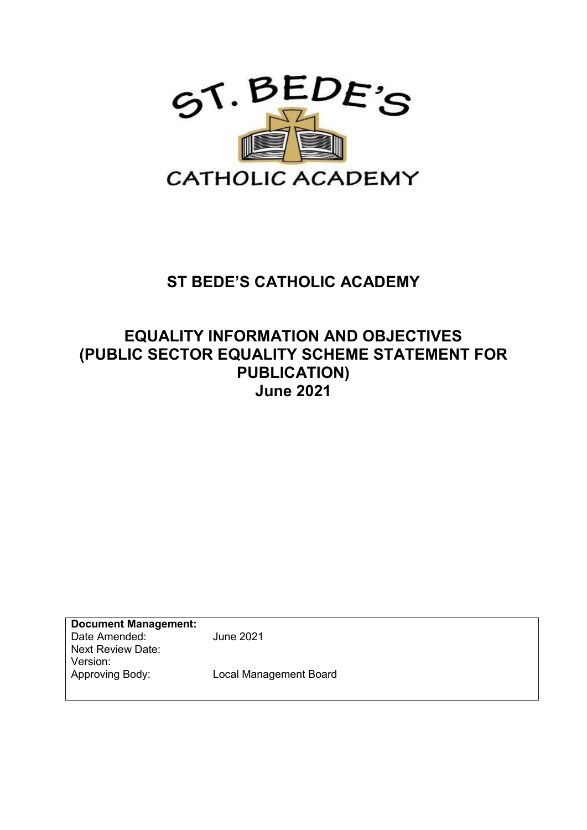

# **ST BEDE'S CATHOLIC ACADEMY**

## **EQUALITY INFORMATION AND OBJECTIVES (PUBLIC SECTOR EQUALITY SCHEME STATEMENT FOR PUBLICATION) June 2021**

**Document Management:**  Date Amended: June 2021 Next Review Date: Version:<br>Approving Body: **Local Management Board**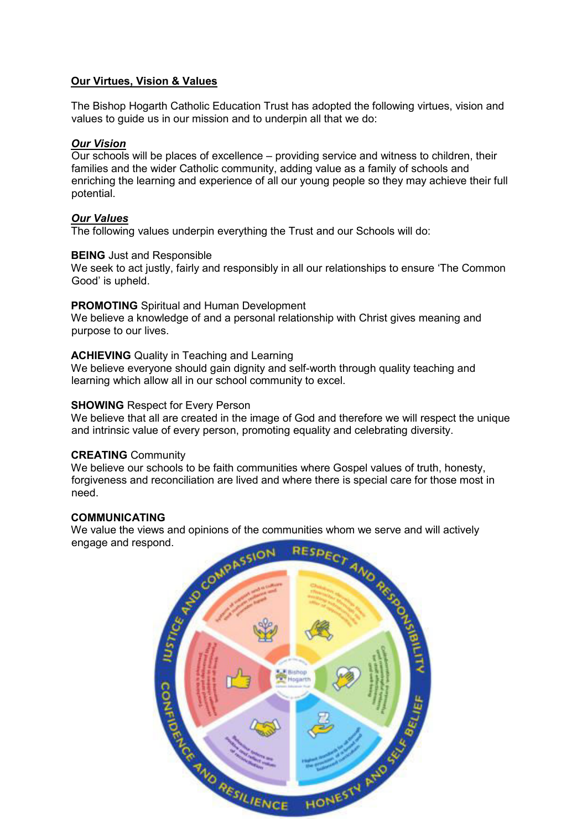#### **Our Virtues, Vision & Values**

The Bishop Hogarth Catholic Education Trust has adopted the following virtues, vision and values to guide us in our mission and to underpin all that we do:

#### *Our Vision*

Our schools will be places of excellence – providing service and witness to children, their families and the wider Catholic community, adding value as a family of schools and enriching the learning and experience of all our young people so they may achieve their full potential.

#### *Our Values*

The following values underpin everything the Trust and our Schools will do:

#### **BEING** Just and Responsible

We seek to act justly, fairly and responsibly in all our relationships to ensure 'The Common Good' is upheld.

#### **PROMOTING** Spiritual and Human Development

We believe a knowledge of and a personal relationship with Christ gives meaning and purpose to our lives.

#### **ACHIEVING** Quality in Teaching and Learning

We believe everyone should gain dignity and self-worth through quality teaching and learning which allow all in our school community to excel.

#### **SHOWING** Respect for Every Person

We believe that all are created in the image of God and therefore we will respect the unique and intrinsic value of every person, promoting equality and celebrating diversity.

#### **CREATING** Community

We believe our schools to be faith communities where Gospel values of truth, honesty, forgiveness and reconciliation are lived and where there is special care for those most in need.

#### **COMMUNICATING**

engage and respond.

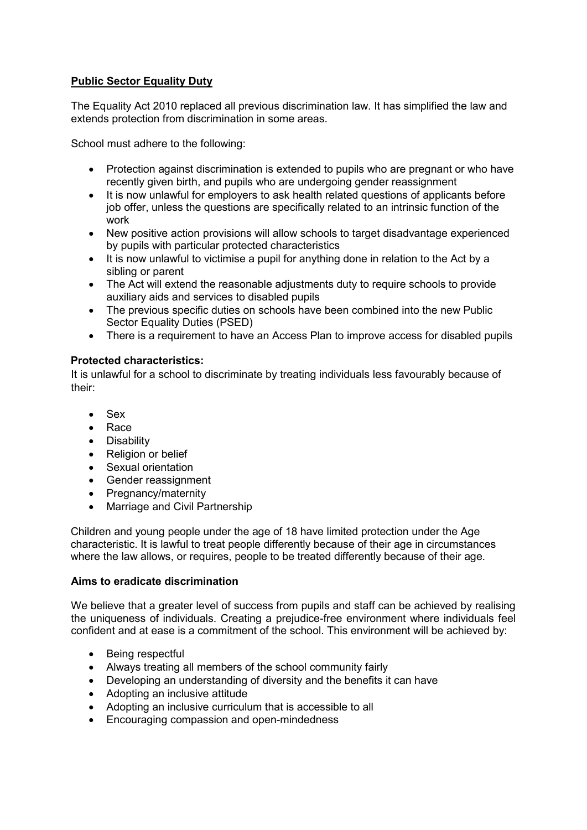## **Public Sector Equality Duty**

The Equality Act 2010 replaced all previous discrimination law. It has simplified the law and extends protection from discrimination in some areas.

School must adhere to the following:

- Protection against discrimination is extended to pupils who are pregnant or who have recently given birth, and pupils who are undergoing gender reassignment
- It is now unlawful for employers to ask health related questions of applicants before job offer, unless the questions are specifically related to an intrinsic function of the work
- New positive action provisions will allow schools to target disadvantage experienced by pupils with particular protected characteristics
- It is now unlawful to victimise a pupil for anything done in relation to the Act by a sibling or parent
- The Act will extend the reasonable adjustments duty to require schools to provide auxiliary aids and services to disabled pupils
- The previous specific duties on schools have been combined into the new Public Sector Equality Duties (PSED)
- There is a requirement to have an Access Plan to improve access for disabled pupils

#### **Protected characteristics:**

It is unlawful for a school to discriminate by treating individuals less favourably because of their:

- Sex
- Race
- Disability
- Religion or belief
- Sexual orientation
- Gender reassignment
- Pregnancy/maternity
- Marriage and Civil Partnership

Children and young people under the age of 18 have limited protection under the Age characteristic. It is lawful to treat people differently because of their age in circumstances where the law allows, or requires, people to be treated differently because of their age.

#### **Aims to eradicate discrimination**

We believe that a greater level of success from pupils and staff can be achieved by realising the uniqueness of individuals. Creating a prejudice-free environment where individuals feel confident and at ease is a commitment of the school. This environment will be achieved by:

- Being respectful
- Always treating all members of the school community fairly
- Developing an understanding of diversity and the benefits it can have
- Adopting an inclusive attitude
- Adopting an inclusive curriculum that is accessible to all
- Encouraging compassion and open-mindedness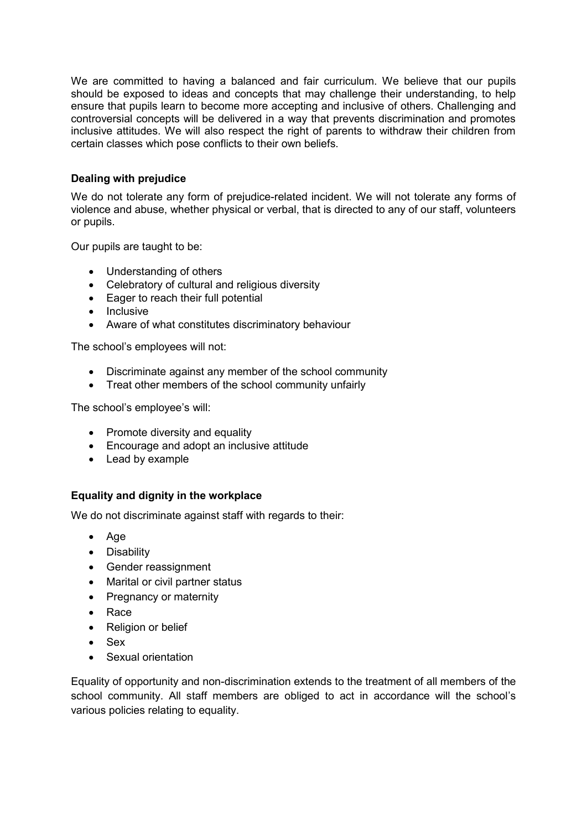We are committed to having a balanced and fair curriculum. We believe that our pupils should be exposed to ideas and concepts that may challenge their understanding, to help ensure that pupils learn to become more accepting and inclusive of others. Challenging and controversial concepts will be delivered in a way that prevents discrimination and promotes inclusive attitudes. We will also respect the right of parents to withdraw their children from certain classes which pose conflicts to their own beliefs.

## **Dealing with prejudice**

We do not tolerate any form of prejudice-related incident. We will not tolerate any forms of violence and abuse, whether physical or verbal, that is directed to any of our staff, volunteers or pupils.

Our pupils are taught to be:

- Understanding of others
- Celebratory of cultural and religious diversity
- Eager to reach their full potential
- Inclusive
- Aware of what constitutes discriminatory behaviour

The school's employees will not:

- Discriminate against any member of the school community
- Treat other members of the school community unfairly

The school's employee's will:

- Promote diversity and equality
- Encourage and adopt an inclusive attitude
- Lead by example

## **Equality and dignity in the workplace**

We do not discriminate against staff with regards to their:

- Age
- Disability
- Gender reassignment
- Marital or civil partner status
- Pregnancy or maternity
- Race
- Religion or belief
- Sex
- Sexual orientation

Equality of opportunity and non-discrimination extends to the treatment of all members of the school community. All staff members are obliged to act in accordance will the school's various policies relating to equality.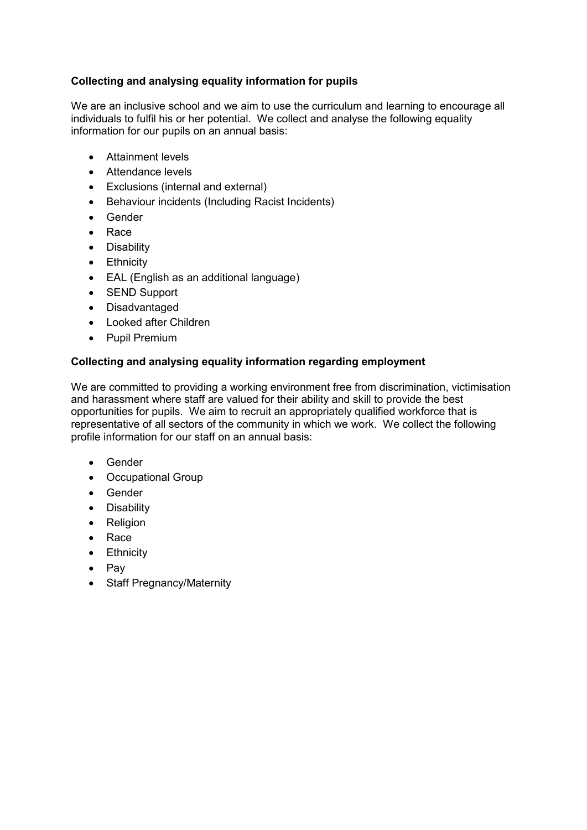## **Collecting and analysing equality information for pupils**

We are an inclusive school and we aim to use the curriculum and learning to encourage all individuals to fulfil his or her potential. We collect and analyse the following equality information for our pupils on an annual basis:

- Attainment levels
- Attendance levels
- Exclusions (internal and external)
- Behaviour incidents (Including Racist Incidents)
- Gender
- Race
- Disability
- Ethnicity
- EAL (English as an additional language)
- SEND Support
- Disadvantaged
- Looked after Children
- Pupil Premium

## **Collecting and analysing equality information regarding employment**

We are committed to providing a working environment free from discrimination, victimisation and harassment where staff are valued for their ability and skill to provide the best opportunities for pupils. We aim to recruit an appropriately qualified workforce that is representative of all sectors of the community in which we work. We collect the following profile information for our staff on an annual basis:

- Gender
- Occupational Group
- **•** Gender
- Disability
- Religion
- Race
- Ethnicity
- Pav
- Staff Pregnancy/Maternity